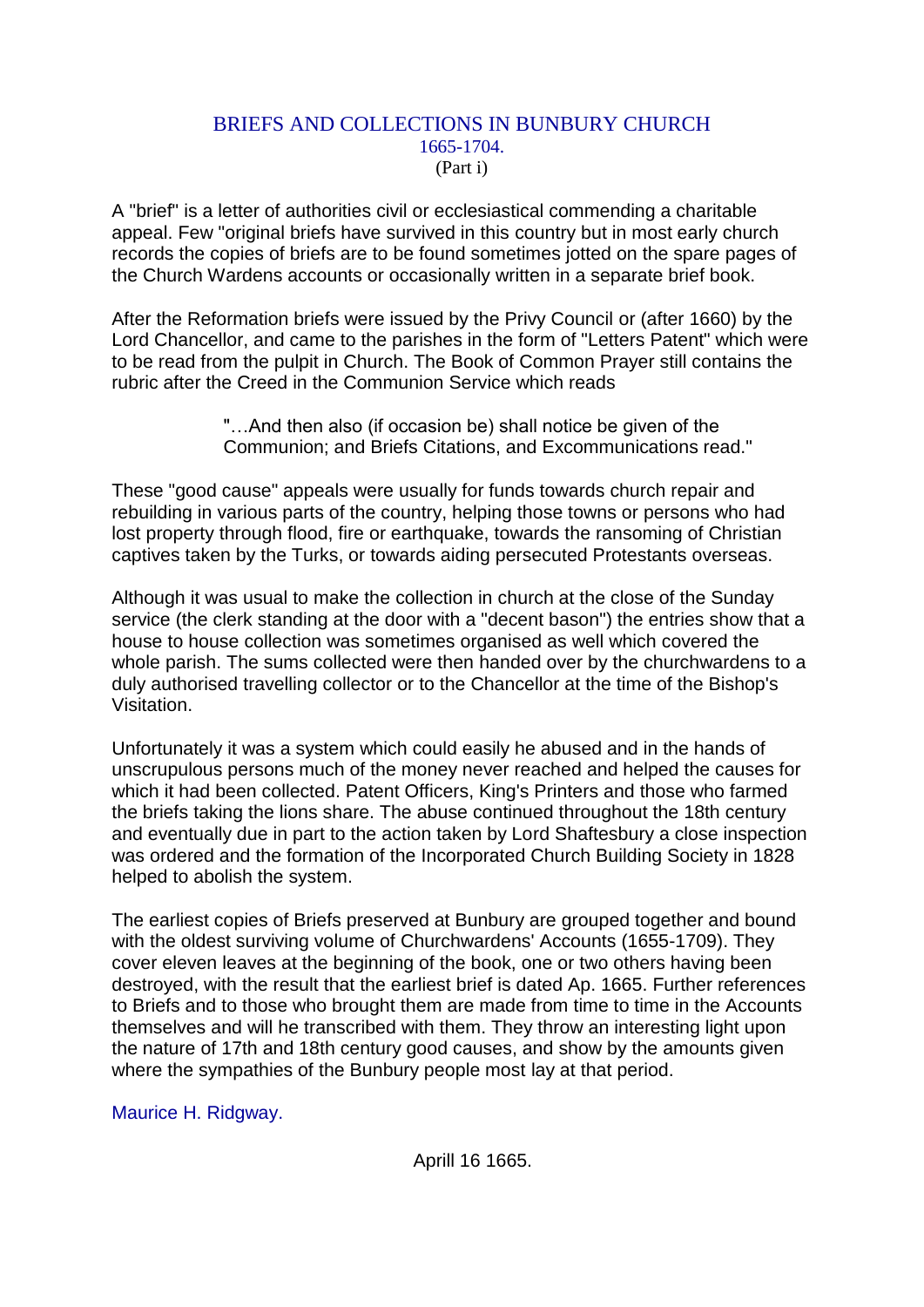## BRIEFS AND COLLECTIONS IN BUNBURY CHURCH 1665-1704. (Part i)

A "brief" is a letter of authorities civil or ecclesiastical commending a charitable appeal. Few "original briefs have survived in this country but in most early church records the copies of briefs are to be found sometimes jotted on the spare pages of the Church Wardens accounts or occasionally written in a separate brief book.

After the Reformation briefs were issued by the Privy Council or (after 1660) by the Lord Chancellor, and came to the parishes in the form of "Letters Patent" which were to be read from the pulpit in Church. The Book of Common Prayer still contains the rubric after the Creed in the Communion Service which reads

> "…And then also (if occasion be) shall notice be given of the Communion; and Briefs Citations, and Excommunications read."

These "good cause" appeals were usually for funds towards church repair and rebuilding in various parts of the country, helping those towns or persons who had lost property through flood, fire or earthquake, towards the ransoming of Christian captives taken by the Turks, or towards aiding persecuted Protestants overseas.

Although it was usual to make the collection in church at the close of the Sunday service (the clerk standing at the door with a "decent bason") the entries show that a house to house collection was sometimes organised as well which covered the whole parish. The sums collected were then handed over by the churchwardens to a duly authorised travelling collector or to the Chancellor at the time of the Bishop's Visitation.

Unfortunately it was a system which could easily he abused and in the hands of unscrupulous persons much of the money never reached and helped the causes for which it had been collected. Patent Officers, King's Printers and those who farmed the briefs taking the lions share. The abuse continued throughout the 18th century and eventually due in part to the action taken by Lord Shaftesbury a close inspection was ordered and the formation of the Incorporated Church Building Society in 1828 helped to abolish the system.

The earliest copies of Briefs preserved at Bunbury are grouped together and bound with the oldest surviving volume of Churchwardens' Accounts (1655-1709). They cover eleven leaves at the beginning of the book, one or two others having been destroyed, with the result that the earliest brief is dated Ap. 1665. Further references to Briefs and to those who brought them are made from time to time in the Accounts themselves and will he transcribed with them. They throw an interesting light upon the nature of 17th and 18th century good causes, and show by the amounts given where the sympathies of the Bunbury people most lay at that period.

Maurice H. Ridgway.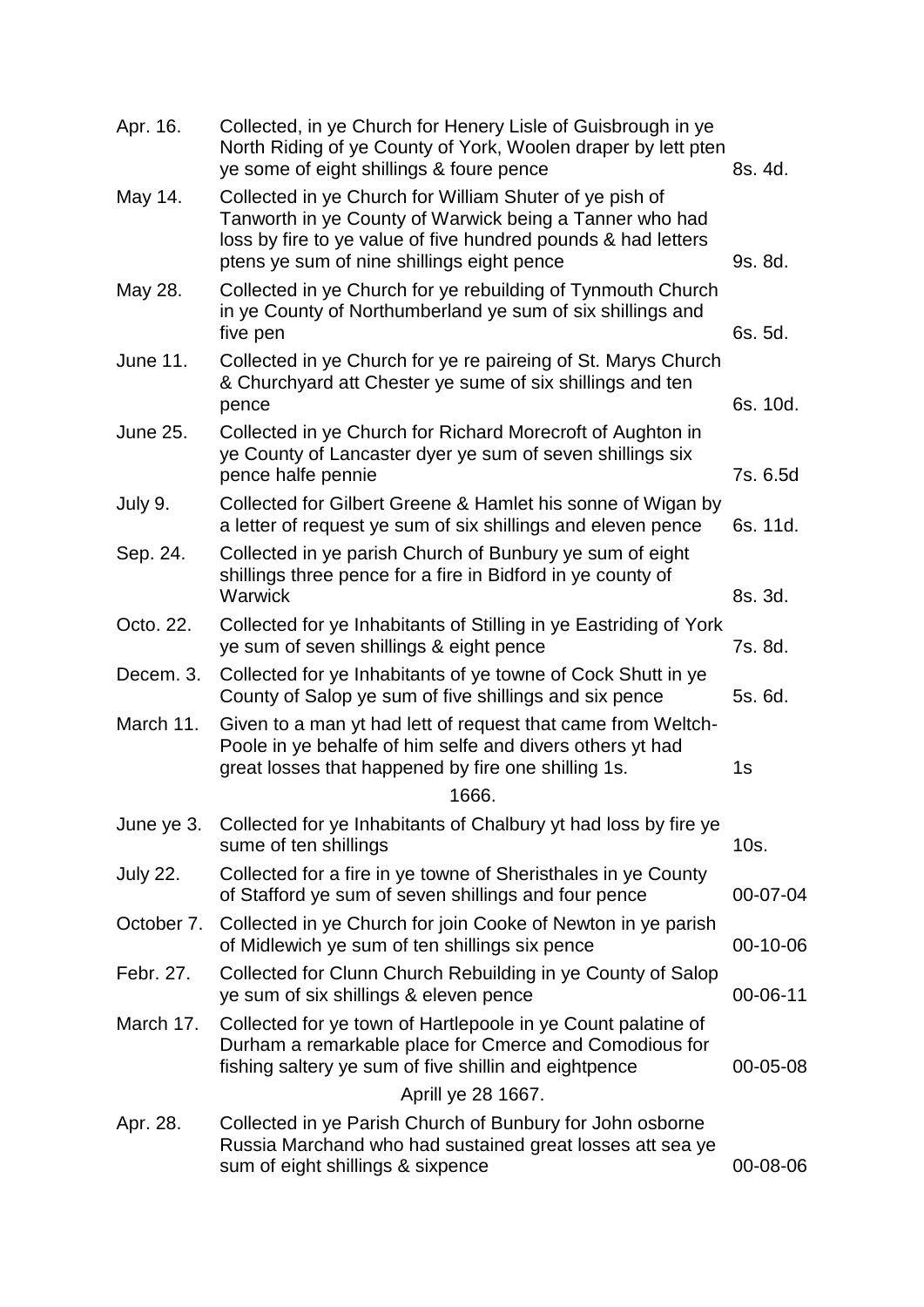| Apr. 16.        | Collected, in ye Church for Henery Lisle of Guisbrough in ye<br>North Riding of ye County of York, Woolen draper by lett pten<br>ye some of eight shillings & foure pence                                                         | 8s. 4d.  |
|-----------------|-----------------------------------------------------------------------------------------------------------------------------------------------------------------------------------------------------------------------------------|----------|
| May 14.         | Collected in ye Church for William Shuter of ye pish of<br>Tanworth in ye County of Warwick being a Tanner who had<br>loss by fire to ye value of five hundred pounds & had letters<br>ptens ye sum of nine shillings eight pence | 9s. 8d.  |
| May 28.         | Collected in ye Church for ye rebuilding of Tynmouth Church<br>in ye County of Northumberland ye sum of six shillings and<br>five pen                                                                                             | 6s. 5d.  |
| <b>June 11.</b> | Collected in ye Church for ye re paireing of St. Marys Church<br>& Churchyard att Chester ye sume of six shillings and ten<br>pence                                                                                               | 6s. 10d. |
| <b>June 25.</b> | Collected in ye Church for Richard Morecroft of Aughton in<br>ye County of Lancaster dyer ye sum of seven shillings six<br>pence halfe pennie                                                                                     | 7s. 6.5d |
| July 9.         | Collected for Gilbert Greene & Hamlet his sonne of Wigan by<br>a letter of request ye sum of six shillings and eleven pence                                                                                                       | 6s. 11d. |
| Sep. 24.        | Collected in ye parish Church of Bunbury ye sum of eight<br>shillings three pence for a fire in Bidford in ye county of<br>Warwick                                                                                                | 8s. 3d.  |
| Octo. 22.       | Collected for ye Inhabitants of Stilling in ye Eastriding of York<br>ye sum of seven shillings & eight pence                                                                                                                      | 7s. 8d.  |
| Decem. 3.       | Collected for ye Inhabitants of ye towne of Cock Shutt in ye<br>County of Salop ye sum of five shillings and six pence                                                                                                            | 5s. 6d.  |
| March 11.       | Given to a man yt had lett of request that came from Weltch-<br>Poole in ye behalfe of him selfe and divers others yt had<br>great losses that happened by fire one shilling 1s.<br>1666.                                         | 1s       |
| June ye 3.      | Collected for ye Inhabitants of Chalbury yt had loss by fire ye<br>sume of ten shillings                                                                                                                                          | 10s.     |
| <b>July 22.</b> | Collected for a fire in ye towne of Sheristhales in ye County<br>of Stafford ye sum of seven shillings and four pence                                                                                                             | 00-07-04 |
| October 7.      | Collected in ye Church for join Cooke of Newton in ye parish<br>of Midlewich ye sum of ten shillings six pence                                                                                                                    | 00-10-06 |
| Febr. 27.       | Collected for Clunn Church Rebuilding in ye County of Salop<br>ye sum of six shillings & eleven pence                                                                                                                             | 00-06-11 |
| March 17.       | Collected for ye town of Hartlepoole in ye Count palatine of<br>Durham a remarkable place for Cmerce and Comodious for<br>fishing saltery ye sum of five shillin and eightpence                                                   | 00-05-08 |
|                 | Aprill ye 28 1667.                                                                                                                                                                                                                |          |
| Apr. 28.        | Collected in ye Parish Church of Bunbury for John osborne<br>Russia Marchand who had sustained great losses att sea ye<br>sum of eight shillings & sixpence                                                                       | 00-08-06 |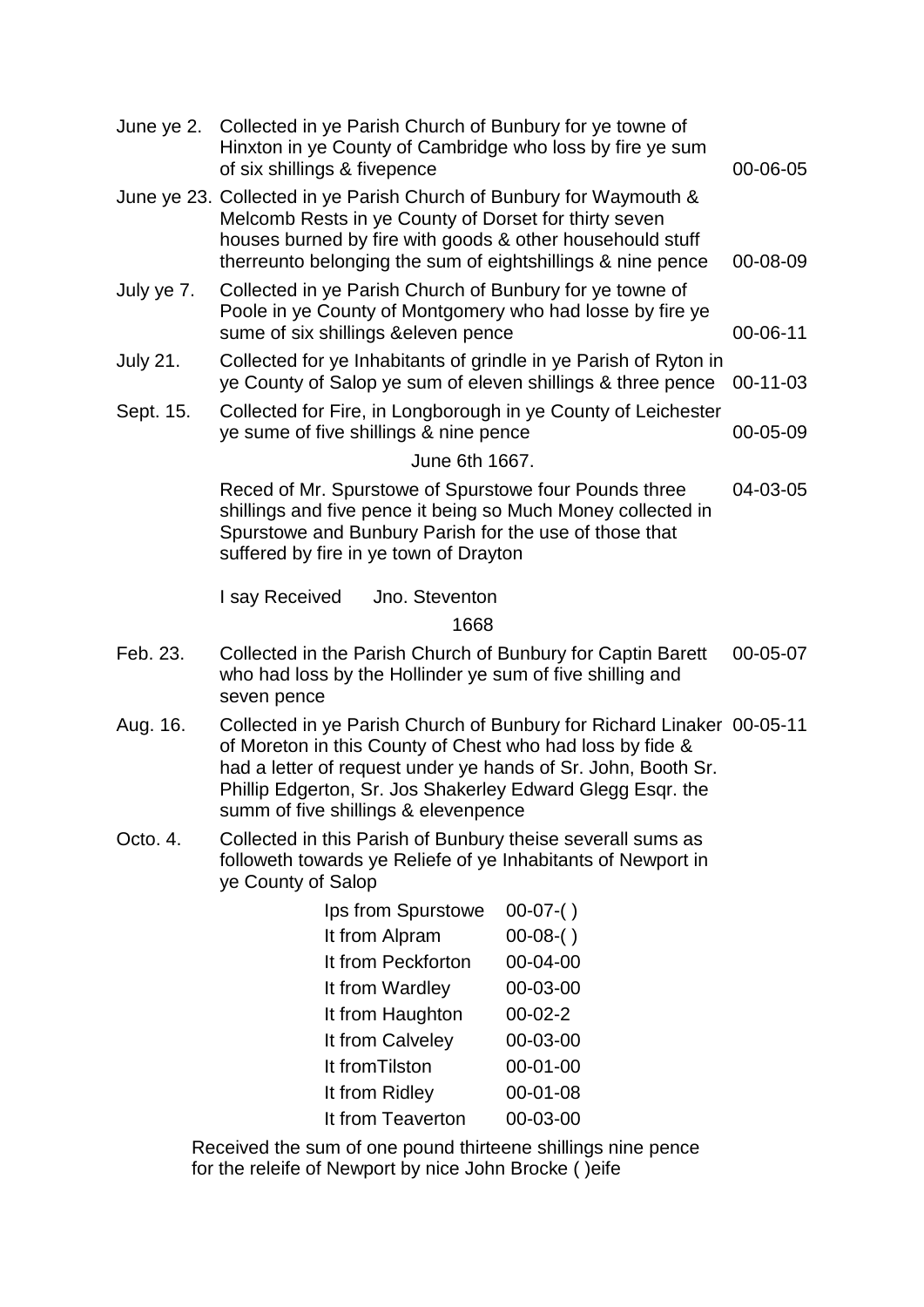| June ye 2.      | Collected in ye Parish Church of Bunbury for ye towne of<br>Hinxton in ye County of Cambridge who loss by fire ye sum<br>of six shillings & fivepence                                                                                                                                                     |                                        | 00-06-05                                                                                                                                                                        |          |
|-----------------|-----------------------------------------------------------------------------------------------------------------------------------------------------------------------------------------------------------------------------------------------------------------------------------------------------------|----------------------------------------|---------------------------------------------------------------------------------------------------------------------------------------------------------------------------------|----------|
|                 | June ye 23. Collected in ye Parish Church of Bunbury for Waymouth &<br>Melcomb Rests in ye County of Dorset for thirty seven<br>houses burned by fire with goods & other househould stuff<br>therreunto belonging the sum of eightshillings & nine pence                                                  |                                        |                                                                                                                                                                                 | 00-08-09 |
| July ye 7.      |                                                                                                                                                                                                                                                                                                           | sume of six shillings & eleven pence   | Collected in ye Parish Church of Bunbury for ye towne of<br>Poole in ye County of Montgomery who had losse by fire ye                                                           | 00-06-11 |
| <b>July 21.</b> |                                                                                                                                                                                                                                                                                                           |                                        | Collected for ye Inhabitants of grindle in ye Parish of Ryton in<br>ye County of Salop ye sum of eleven shillings & three pence                                                 | 00-11-03 |
| Sept. 15.       |                                                                                                                                                                                                                                                                                                           | ye sume of five shillings & nine pence | Collected for Fire, in Longborough in ye County of Leichester                                                                                                                   | 00-05-09 |
|                 |                                                                                                                                                                                                                                                                                                           | June 6th 1667.                         |                                                                                                                                                                                 |          |
|                 |                                                                                                                                                                                                                                                                                                           | suffered by fire in ye town of Drayton | Reced of Mr. Spurstowe of Spurstowe four Pounds three<br>shillings and five pence it being so Much Money collected in<br>Spurstowe and Bunbury Parish for the use of those that | 04-03-05 |
|                 | I say Received                                                                                                                                                                                                                                                                                            | Jno. Steventon                         |                                                                                                                                                                                 |          |
|                 |                                                                                                                                                                                                                                                                                                           | 1668                                   |                                                                                                                                                                                 |          |
| Feb. 23.        | seven pence                                                                                                                                                                                                                                                                                               |                                        | Collected in the Parish Church of Bunbury for Captin Barett<br>who had loss by the Hollinder ye sum of five shilling and                                                        | 00-05-07 |
| Aug. 16.        | Collected in ye Parish Church of Bunbury for Richard Linaker 00-05-11<br>of Moreton in this County of Chest who had loss by fide &<br>had a letter of request under ye hands of Sr. John, Booth Sr.<br>Phillip Edgerton, Sr. Jos Shakerley Edward Glegg Esqr. the<br>summ of five shillings & elevenpence |                                        |                                                                                                                                                                                 |          |
| Octo. 4.        | Collected in this Parish of Bunbury theise severall sums as<br>followeth towards ye Reliefe of ye Inhabitants of Newport in<br>ye County of Salop                                                                                                                                                         |                                        |                                                                                                                                                                                 |          |
|                 |                                                                                                                                                                                                                                                                                                           | Ips from Spurstowe                     | $00-07-()$                                                                                                                                                                      |          |
|                 |                                                                                                                                                                                                                                                                                                           | It from Alpram                         | $00-08-()$                                                                                                                                                                      |          |
|                 |                                                                                                                                                                                                                                                                                                           | It from Peckforton                     | 00-04-00                                                                                                                                                                        |          |
|                 |                                                                                                                                                                                                                                                                                                           | It from Wardley                        | 00-03-00                                                                                                                                                                        |          |
|                 |                                                                                                                                                                                                                                                                                                           | It from Haughton                       | $00-02-2$                                                                                                                                                                       |          |
|                 |                                                                                                                                                                                                                                                                                                           | It from Calveley                       | 00-03-00                                                                                                                                                                        |          |
|                 |                                                                                                                                                                                                                                                                                                           | It from Tilston                        | $00 - 01 - 00$                                                                                                                                                                  |          |
|                 |                                                                                                                                                                                                                                                                                                           | It from Ridley                         | 00-01-08                                                                                                                                                                        |          |
|                 |                                                                                                                                                                                                                                                                                                           | It from Teaverton                      | 00-03-00                                                                                                                                                                        |          |

Received the sum of one pound thirteene shillings nine pence for the releife of Newport by nice John Brocke ( )eife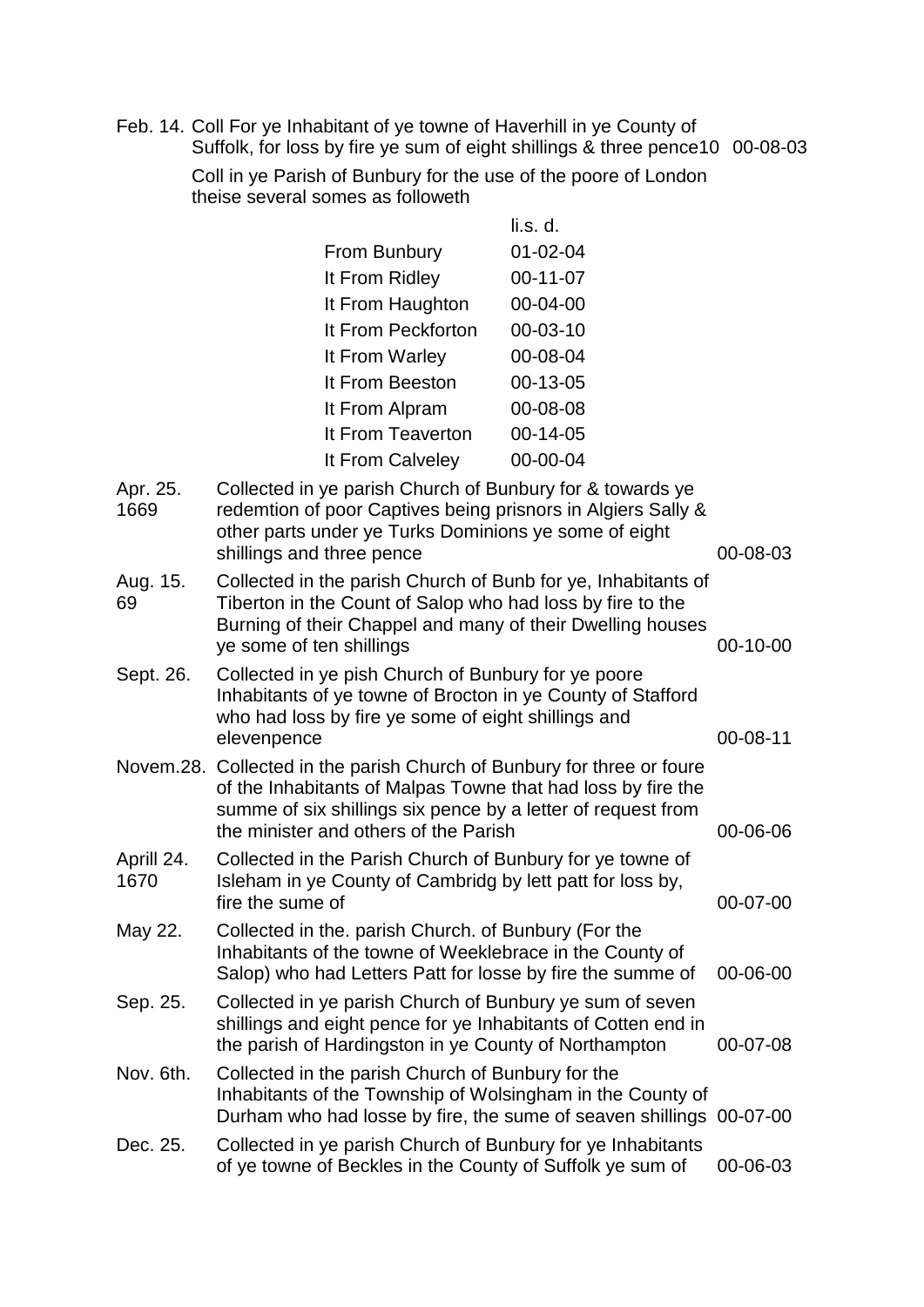Feb. 14. Coll For ye Inhabitant of ye towne of Haverhill in ye County of Suffolk, for loss by fire ye sum of eight shillings & three pence10 00-08-03

> Coll in ye Parish of Bunbury for the use of the poore of London theise several somes as followeth

|                    |                                                                                                                                             |                                                                                                            | li.s. d.                                                                                                                                                                                               |                |
|--------------------|---------------------------------------------------------------------------------------------------------------------------------------------|------------------------------------------------------------------------------------------------------------|--------------------------------------------------------------------------------------------------------------------------------------------------------------------------------------------------------|----------------|
|                    |                                                                                                                                             | From Bunbury                                                                                               | $01 - 02 - 04$                                                                                                                                                                                         |                |
|                    |                                                                                                                                             | It From Ridley                                                                                             | $00-11-07$                                                                                                                                                                                             |                |
|                    |                                                                                                                                             | It From Haughton                                                                                           | 00-04-00                                                                                                                                                                                               |                |
|                    |                                                                                                                                             | It From Peckforton                                                                                         | 00-03-10                                                                                                                                                                                               |                |
|                    |                                                                                                                                             | It From Warley                                                                                             | 00-08-04                                                                                                                                                                                               |                |
|                    |                                                                                                                                             | It From Beeston                                                                                            | 00-13-05                                                                                                                                                                                               |                |
|                    |                                                                                                                                             | It From Alpram                                                                                             | 00-08-08                                                                                                                                                                                               |                |
|                    |                                                                                                                                             | It From Teaverton                                                                                          | 00-14-05                                                                                                                                                                                               |                |
|                    |                                                                                                                                             | It From Calveley                                                                                           | 00-00-04                                                                                                                                                                                               |                |
| Apr. 25.<br>1669   | shillings and three pence                                                                                                                   |                                                                                                            | Collected in ye parish Church of Bunbury for & towards ye<br>redemtion of poor Captives being prisnors in Algiers Sally &<br>other parts under ye Turks Dominions ye some of eight                     | 00-08-03       |
| Aug. 15.<br>69     | ye some of ten shillings                                                                                                                    |                                                                                                            | Collected in the parish Church of Bunb for ye, Inhabitants of<br>Tiberton in the Count of Salop who had loss by fire to the<br>Burning of their Chappel and many of their Dwelling houses              | $00-10-00$     |
| Sept. 26.          | elevenpence                                                                                                                                 | Collected in ye pish Church of Bunbury for ye poore<br>who had loss by fire ye some of eight shillings and | Inhabitants of ye towne of Brocton in ye County of Stafford                                                                                                                                            | $00 - 08 - 11$ |
|                    |                                                                                                                                             | the minister and others of the Parish                                                                      | Novem.28. Collected in the parish Church of Bunbury for three or foure<br>of the Inhabitants of Malpas Towne that had loss by fire the<br>summe of six shillings six pence by a letter of request from | 00-06-06       |
| Aprill 24.<br>1670 | Collected in the Parish Church of Bunbury for ye towne of<br>Isleham in ye County of Cambridg by lett patt for loss by,<br>fire the sume of |                                                                                                            | 00-07-00                                                                                                                                                                                               |                |
| May 22.            |                                                                                                                                             | Collected in the. parish Church. of Bunbury (For the                                                       | Inhabitants of the towne of Weeklebrace in the County of<br>Salop) who had Letters Patt for losse by fire the summe of                                                                                 | 00-06-00       |
| Sep. 25.           |                                                                                                                                             |                                                                                                            | Collected in ye parish Church of Bunbury ye sum of seven<br>shillings and eight pence for ye Inhabitants of Cotten end in<br>the parish of Hardingston in ye County of Northampton                     | 00-07-08       |
| Nov. 6th.          |                                                                                                                                             | Collected in the parish Church of Bunbury for the                                                          | Inhabitants of the Township of Wolsingham in the County of<br>Durham who had losse by fire, the sume of seaven shillings 00-07-00                                                                      |                |
| Dec. 25.           |                                                                                                                                             |                                                                                                            | Collected in ye parish Church of Bunbury for ye Inhabitants<br>of ye towne of Beckles in the County of Suffolk ye sum of                                                                               | 00-06-03       |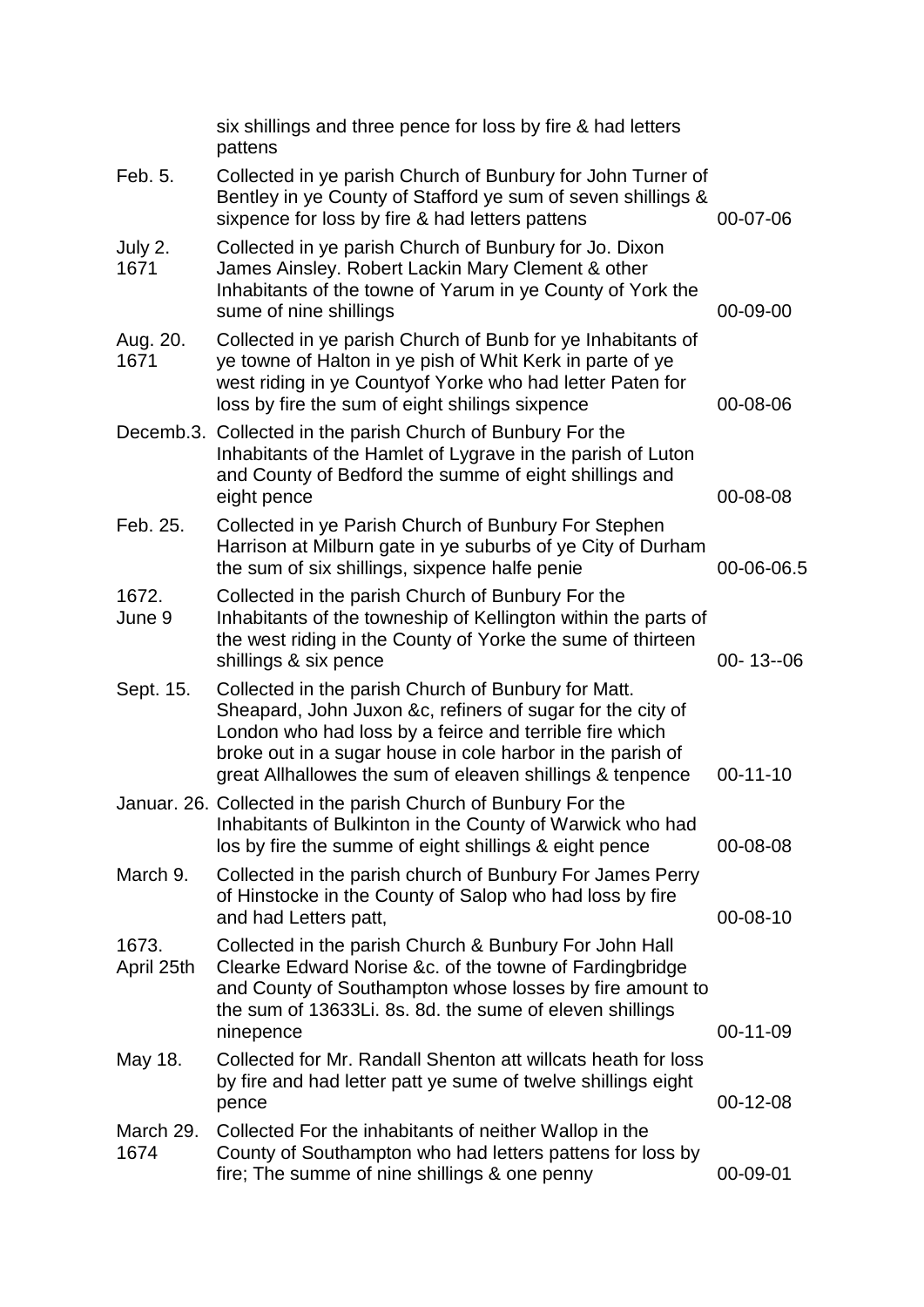|                     | six shillings and three pence for loss by fire & had letters<br>pattens                                                                                                                                                                                                                                 |                |
|---------------------|---------------------------------------------------------------------------------------------------------------------------------------------------------------------------------------------------------------------------------------------------------------------------------------------------------|----------------|
| Feb. 5.             | Collected in ye parish Church of Bunbury for John Turner of<br>Bentley in ye County of Stafford ye sum of seven shillings &<br>sixpence for loss by fire & had letters pattens                                                                                                                          | 00-07-06       |
| July 2.<br>1671     | Collected in ye parish Church of Bunbury for Jo. Dixon<br>James Ainsley. Robert Lackin Mary Clement & other<br>Inhabitants of the towne of Yarum in ye County of York the<br>sume of nine shillings                                                                                                     | 00-09-00       |
| Aug. 20.<br>1671    | Collected in ye parish Church of Bunb for ye Inhabitants of<br>ye towne of Halton in ye pish of Whit Kerk in parte of ye<br>west riding in ye Countyof Yorke who had letter Paten for<br>loss by fire the sum of eight shilings sixpence                                                                | 00-08-06       |
|                     | Decemb.3. Collected in the parish Church of Bunbury For the<br>Inhabitants of the Hamlet of Lygrave in the parish of Luton<br>and County of Bedford the summe of eight shillings and<br>eight pence                                                                                                     | 00-08-08       |
| Feb. 25.            | Collected in ye Parish Church of Bunbury For Stephen<br>Harrison at Milburn gate in ye suburbs of ye City of Durham<br>the sum of six shillings, sixpence halfe penie                                                                                                                                   | 00-06-06.5     |
| 1672.<br>June 9     | Collected in the parish Church of Bunbury For the<br>Inhabitants of the towneship of Kellington within the parts of<br>the west riding in the County of Yorke the sume of thirteen<br>shillings & six pence                                                                                             | $00 - 13 - 06$ |
| Sept. 15.           | Collected in the parish Church of Bunbury for Matt.<br>Sheapard, John Juxon &c, refiners of sugar for the city of<br>London who had loss by a feirce and terrible fire which<br>broke out in a sugar house in cole harbor in the parish of<br>great Allhallowes the sum of eleaven shillings & tenpence | $00-11-10$     |
|                     | Januar. 26. Collected in the parish Church of Bunbury For the<br>Inhabitants of Bulkinton in the County of Warwick who had<br>los by fire the summe of eight shillings & eight pence                                                                                                                    | 00-08-08       |
| March 9.            | Collected in the parish church of Bunbury For James Perry<br>of Hinstocke in the County of Salop who had loss by fire<br>and had Letters patt,                                                                                                                                                          | 00-08-10       |
| 1673.<br>April 25th | Collected in the parish Church & Bunbury For John Hall<br>Clearke Edward Norise &c. of the towne of Fardingbridge<br>and County of Southampton whose losses by fire amount to<br>the sum of 13633Li. 8s. 8d. the sume of eleven shillings<br>ninepence                                                  | 00-11-09       |
| May 18.             | Collected for Mr. Randall Shenton att willcats heath for loss<br>by fire and had letter patt ye sume of twelve shillings eight<br>pence                                                                                                                                                                 | 00-12-08       |
| March 29.<br>1674   | Collected For the inhabitants of neither Wallop in the<br>County of Southampton who had letters pattens for loss by<br>fire; The summe of nine shillings & one penny                                                                                                                                    | 00-09-01       |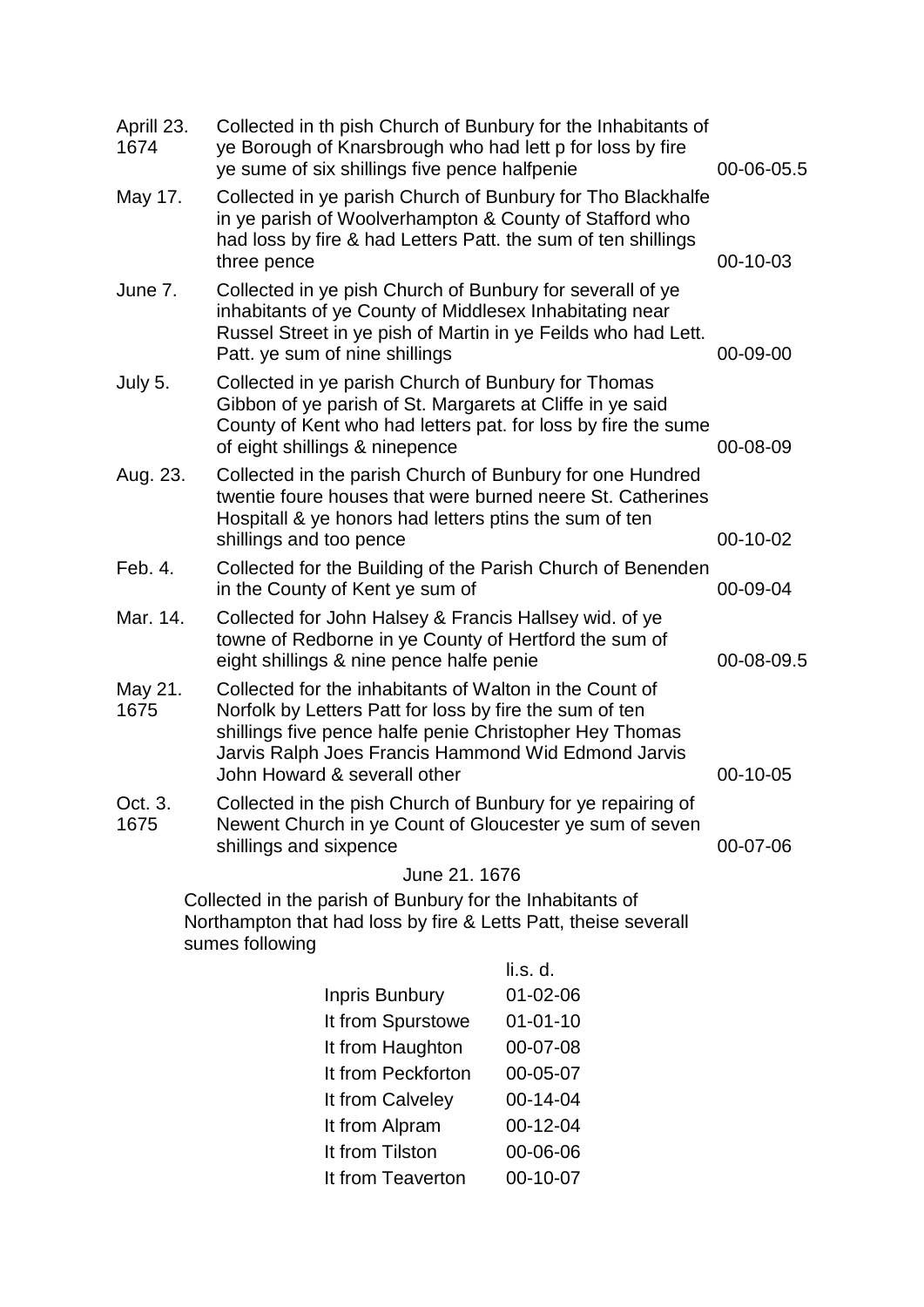| Aprill 23.<br>1674 | Collected in th pish Church of Bunbury for the Inhabitants of<br>ye Borough of Knarsbrough who had lett p for loss by fire<br>ye sume of six shillings five pence halfpenie                                             |                                                                                                                                                                                                                                      | 00-06-05.5 |
|--------------------|-------------------------------------------------------------------------------------------------------------------------------------------------------------------------------------------------------------------------|--------------------------------------------------------------------------------------------------------------------------------------------------------------------------------------------------------------------------------------|------------|
| May 17.            | Collected in ye parish Church of Bunbury for Tho Blackhalfe<br>in ye parish of Woolverhampton & County of Stafford who<br>had loss by fire & had Letters Patt. the sum of ten shillings<br>three pence                  |                                                                                                                                                                                                                                      | 00-10-03   |
| June 7.            | Collected in ye pish Church of Bunbury for severall of ye<br>inhabitants of ye County of Middlesex Inhabitating near<br>Russel Street in ye pish of Martin in ye Feilds who had Lett.<br>Patt. ye sum of nine shillings |                                                                                                                                                                                                                                      | 00-09-00   |
| July 5.            | Collected in ye parish Church of Bunbury for Thomas<br>Gibbon of ye parish of St. Margarets at Cliffe in ye said<br>County of Kent who had letters pat. for loss by fire the sume<br>of eight shillings & ninepence     |                                                                                                                                                                                                                                      | 00-08-09   |
| Aug. 23.           | shillings and too pence                                                                                                                                                                                                 | Collected in the parish Church of Bunbury for one Hundred<br>twentie foure houses that were burned neere St. Catherines<br>Hospitall & ye honors had letters ptins the sum of ten                                                    |            |
| Feb. 4.            | Collected for the Building of the Parish Church of Benenden<br>in the County of Kent ye sum of                                                                                                                          |                                                                                                                                                                                                                                      | 00-09-04   |
| Mar. 14.           |                                                                                                                                                                                                                         | Collected for John Halsey & Francis Hallsey wid. of ye<br>towne of Redborne in ye County of Hertford the sum of<br>eight shillings & nine pence halfe penie                                                                          |            |
| May 21.<br>1675    | John Howard & severall other                                                                                                                                                                                            | Collected for the inhabitants of Walton in the Count of<br>Norfolk by Letters Patt for loss by fire the sum of ten<br>shillings five pence halfe penie Christopher Hey Thomas<br>Jarvis Ralph Joes Francis Hammond Wid Edmond Jarvis |            |
| Oct. 3.<br>1675    | Collected in the pish Church of Bunbury for ye repairing of<br>Newent Church in ye Count of Gloucester ye sum of seven<br>shillings and sixpence                                                                        |                                                                                                                                                                                                                                      | 00-07-06   |
|                    | June 21. 1676                                                                                                                                                                                                           |                                                                                                                                                                                                                                      |            |
|                    | Collected in the parish of Bunbury for the Inhabitants of<br>Northampton that had loss by fire & Letts Patt, theise severall<br>sumes following                                                                         |                                                                                                                                                                                                                                      |            |
|                    |                                                                                                                                                                                                                         | li.s. d.                                                                                                                                                                                                                             |            |
|                    | Inpris Bunbury                                                                                                                                                                                                          | $01 - 02 - 06$                                                                                                                                                                                                                       |            |
|                    | It from Spurstowe                                                                                                                                                                                                       | $01 - 01 - 10$                                                                                                                                                                                                                       |            |
|                    | It from Haughton                                                                                                                                                                                                        | 00-07-08                                                                                                                                                                                                                             |            |
|                    | It from Peckforton                                                                                                                                                                                                      | 00-05-07                                                                                                                                                                                                                             |            |
|                    | It from Calveley                                                                                                                                                                                                        | 00-14-04                                                                                                                                                                                                                             |            |
|                    | It from Alpram                                                                                                                                                                                                          | 00-12-04                                                                                                                                                                                                                             |            |
|                    | It from Tilston                                                                                                                                                                                                         | 00-06-06                                                                                                                                                                                                                             |            |
|                    | It from Teaverton                                                                                                                                                                                                       | 00-10-07                                                                                                                                                                                                                             |            |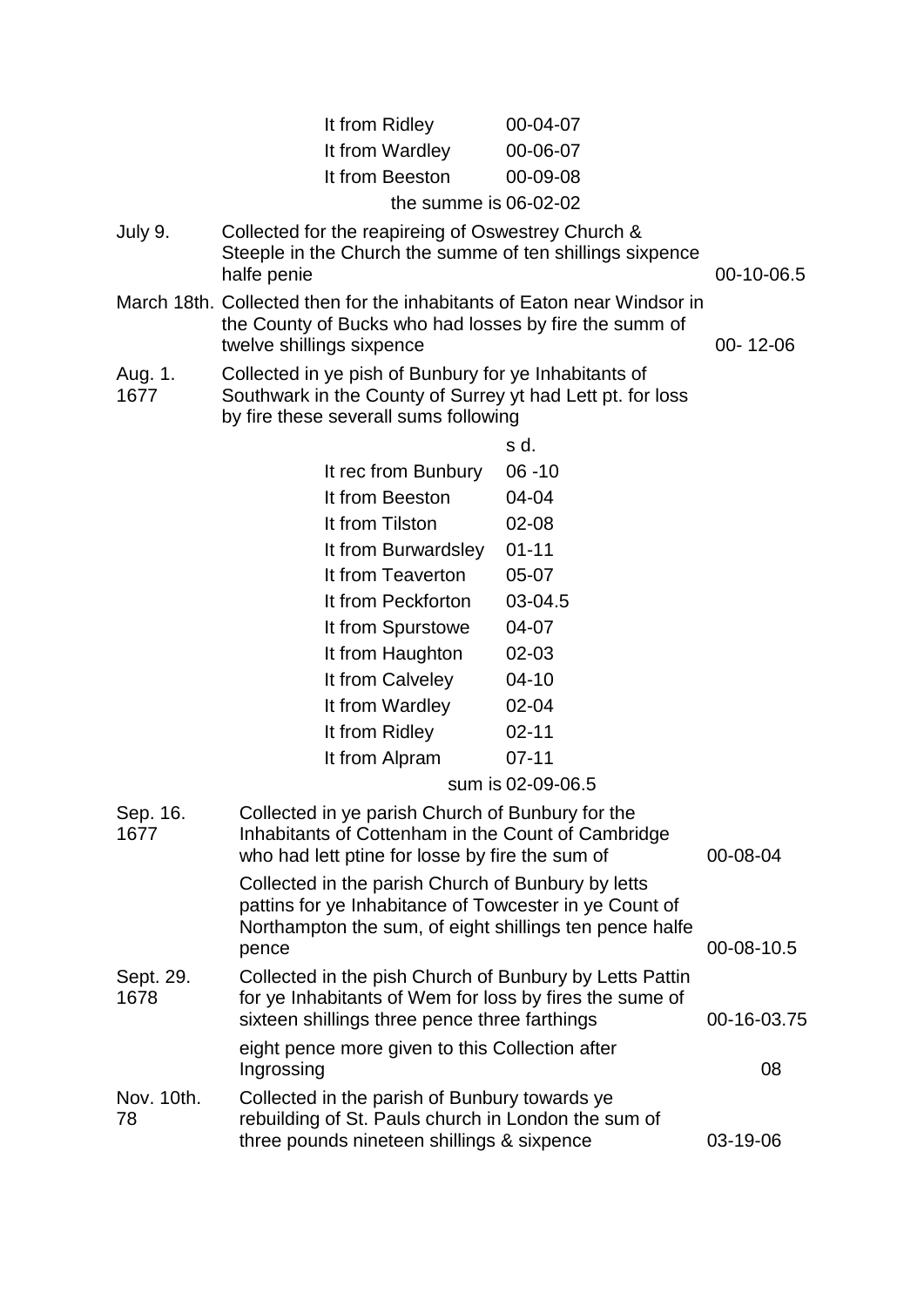|                   | It from Ridley<br>It from Wardley<br>It from Beeston<br>the summe is $06-02-02$                                                                                                  | 00-04-07<br>00-06-07<br>00-09-08 |             |
|-------------------|----------------------------------------------------------------------------------------------------------------------------------------------------------------------------------|----------------------------------|-------------|
| July 9.           | Collected for the reapireing of Oswestrey Church &<br>Steeple in the Church the summe of ten shillings sixpence<br>halfe penie                                                   |                                  | 00-10-06.5  |
|                   | March 18th. Collected then for the inhabitants of Eaton near Windsor in<br>the County of Bucks who had losses by fire the summ of<br>twelve shillings sixpence                   |                                  | 00-12-06    |
| Aug. 1.<br>1677   | Collected in ye pish of Bunbury for ye Inhabitants of<br>Southwark in the County of Surrey yt had Lett pt. for loss<br>by fire these severall sums following                     |                                  |             |
|                   |                                                                                                                                                                                  | s d.                             |             |
|                   | It rec from Bunbury                                                                                                                                                              | $06 - 10$                        |             |
|                   | It from Beeston                                                                                                                                                                  | 04-04                            |             |
|                   | It from Tilston                                                                                                                                                                  | $02 - 08$                        |             |
|                   | It from Burwardsley                                                                                                                                                              | $01 - 11$                        |             |
|                   | It from Teaverton                                                                                                                                                                | 05-07                            |             |
|                   | It from Peckforton                                                                                                                                                               | 03-04.5                          |             |
|                   | It from Spurstowe                                                                                                                                                                | 04-07                            |             |
|                   | It from Haughton                                                                                                                                                                 | $02 - 03$                        |             |
|                   | It from Calveley                                                                                                                                                                 | $04 - 10$                        |             |
|                   | It from Wardley                                                                                                                                                                  | 02-04                            |             |
|                   | It from Ridley                                                                                                                                                                   | $02 - 11$                        |             |
|                   | It from Alpram                                                                                                                                                                   | $07 - 11$                        |             |
|                   |                                                                                                                                                                                  | sum is 02-09-06.5                |             |
| Sep. 16.<br>1677  | Collected in ye parish Church of Bunbury for the<br>Inhabitants of Cottenham in the Count of Cambridge<br>who had lett ptine for losse by fire the sum of                        |                                  | 00-08-04    |
|                   | Collected in the parish Church of Bunbury by letts<br>pattins for ye Inhabitance of Towcester in ye Count of<br>Northampton the sum, of eight shillings ten pence halfe<br>pence |                                  | 00-08-10.5  |
| Sept. 29.<br>1678 | Collected in the pish Church of Bunbury by Letts Pattin<br>for ye Inhabitants of Wem for loss by fires the sume of<br>sixteen shillings three pence three farthings              |                                  | 00-16-03.75 |
|                   | eight pence more given to this Collection after<br>Ingrossing                                                                                                                    |                                  | 08          |
| Nov. 10th.<br>78  | Collected in the parish of Bunbury towards ye<br>rebuilding of St. Pauls church in London the sum of<br>three pounds nineteen shillings & sixpence                               |                                  | 03-19-06    |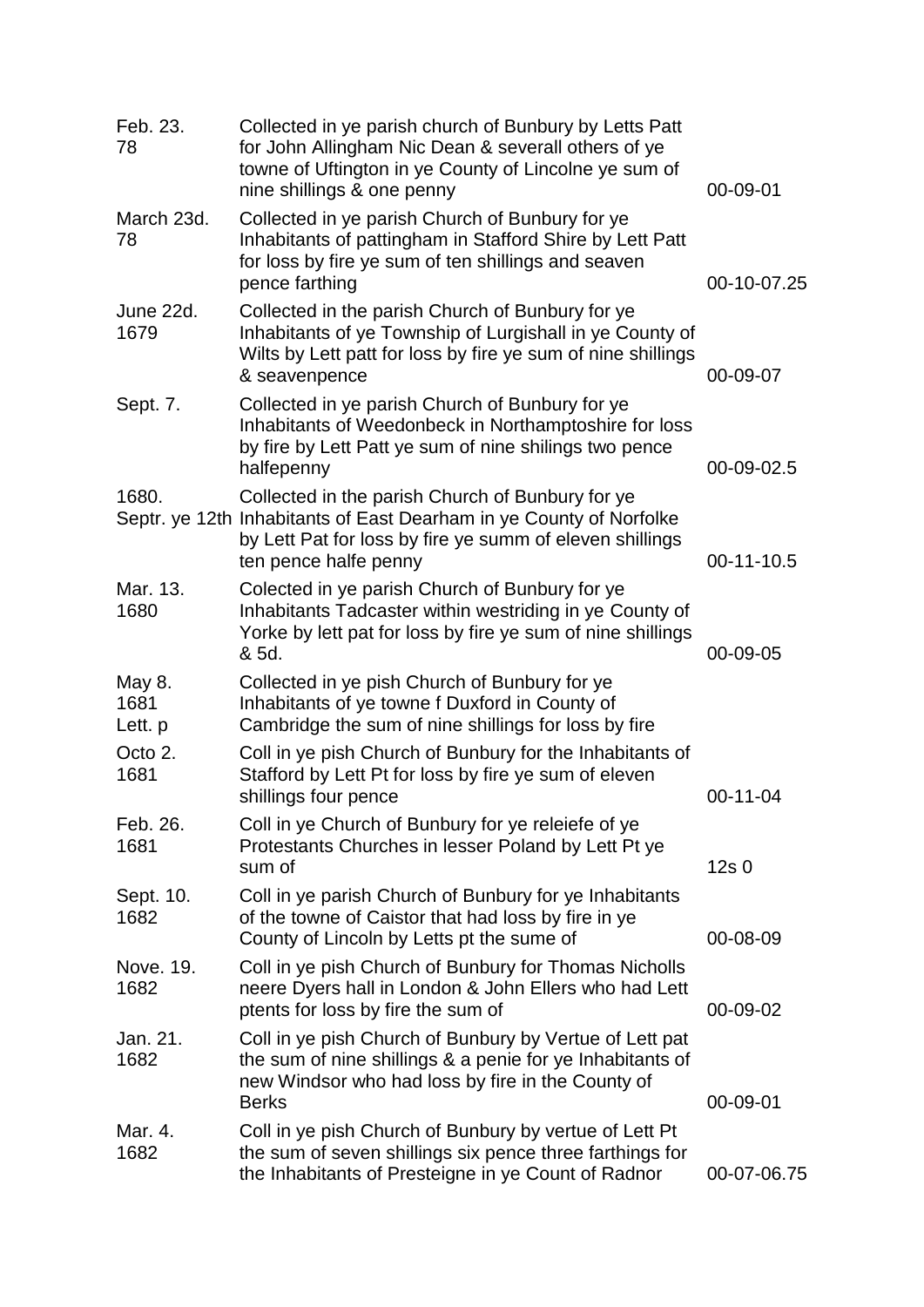| Feb. 23.<br>78            | Collected in ye parish church of Bunbury by Letts Patt<br>for John Allingham Nic Dean & severall others of ye<br>towne of Uftington in ye County of Lincolne ye sum of<br>nine shillings & one penny         | 00-09-01         |
|---------------------------|--------------------------------------------------------------------------------------------------------------------------------------------------------------------------------------------------------------|------------------|
| March 23d.<br>78          | Collected in ye parish Church of Bunbury for ye<br>Inhabitants of pattingham in Stafford Shire by Lett Patt<br>for loss by fire ye sum of ten shillings and seaven<br>pence farthing                         | 00-10-07.25      |
| June 22d.<br>1679         | Collected in the parish Church of Bunbury for ye<br>Inhabitants of ye Township of Lurgishall in ye County of<br>Wilts by Lett patt for loss by fire ye sum of nine shillings<br>& seavenpence                | 00-09-07         |
| Sept. 7.                  | Collected in ye parish Church of Bunbury for ye<br>Inhabitants of Weedonbeck in Northamptoshire for loss<br>by fire by Lett Patt ye sum of nine shilings two pence<br>halfepenny                             | 00-09-02.5       |
| 1680.                     | Collected in the parish Church of Bunbury for ye<br>Septr. ye 12th Inhabitants of East Dearham in ye County of Norfolke<br>by Lett Pat for loss by fire ye summ of eleven shillings<br>ten pence halfe penny | 00-11-10.5       |
| Mar. 13.<br>1680          | Colected in ye parish Church of Bunbury for ye<br>Inhabitants Tadcaster within westriding in ye County of<br>Yorke by lett pat for loss by fire ye sum of nine shillings<br>& 5d.                            | 00-09-05         |
| May 8.<br>1681<br>Lett. p | Collected in ye pish Church of Bunbury for ye<br>Inhabitants of ye towne f Duxford in County of<br>Cambridge the sum of nine shillings for loss by fire                                                      |                  |
| Octo 2.<br>1681           | Coll in ye pish Church of Bunbury for the Inhabitants of<br>Stafford by Lett Pt for loss by fire ye sum of eleven<br>shillings four pence                                                                    | $00-11-04$       |
| Feb. 26.<br>1681          | Coll in ye Church of Bunbury for ye releiefe of ye<br>Protestants Churches in lesser Poland by Lett Pt ye<br>sum of                                                                                          | 12s <sub>0</sub> |
| Sept. 10.<br>1682         | Coll in ye parish Church of Bunbury for ye Inhabitants<br>of the towne of Caistor that had loss by fire in ye<br>County of Lincoln by Letts pt the sume of                                                   | 00-08-09         |
| Nove. 19.<br>1682         | Coll in ye pish Church of Bunbury for Thomas Nicholls<br>neere Dyers hall in London & John Ellers who had Lett<br>ptents for loss by fire the sum of                                                         | 00-09-02         |
| Jan. 21.<br>1682          | Coll in ye pish Church of Bunbury by Vertue of Lett pat<br>the sum of nine shillings & a penie for ye Inhabitants of<br>new Windsor who had loss by fire in the County of<br><b>Berks</b>                    | 00-09-01         |
| Mar. 4.<br>1682           | Coll in ye pish Church of Bunbury by vertue of Lett Pt<br>the sum of seven shillings six pence three farthings for<br>the Inhabitants of Presteigne in ye Count of Radnor                                    | 00-07-06.75      |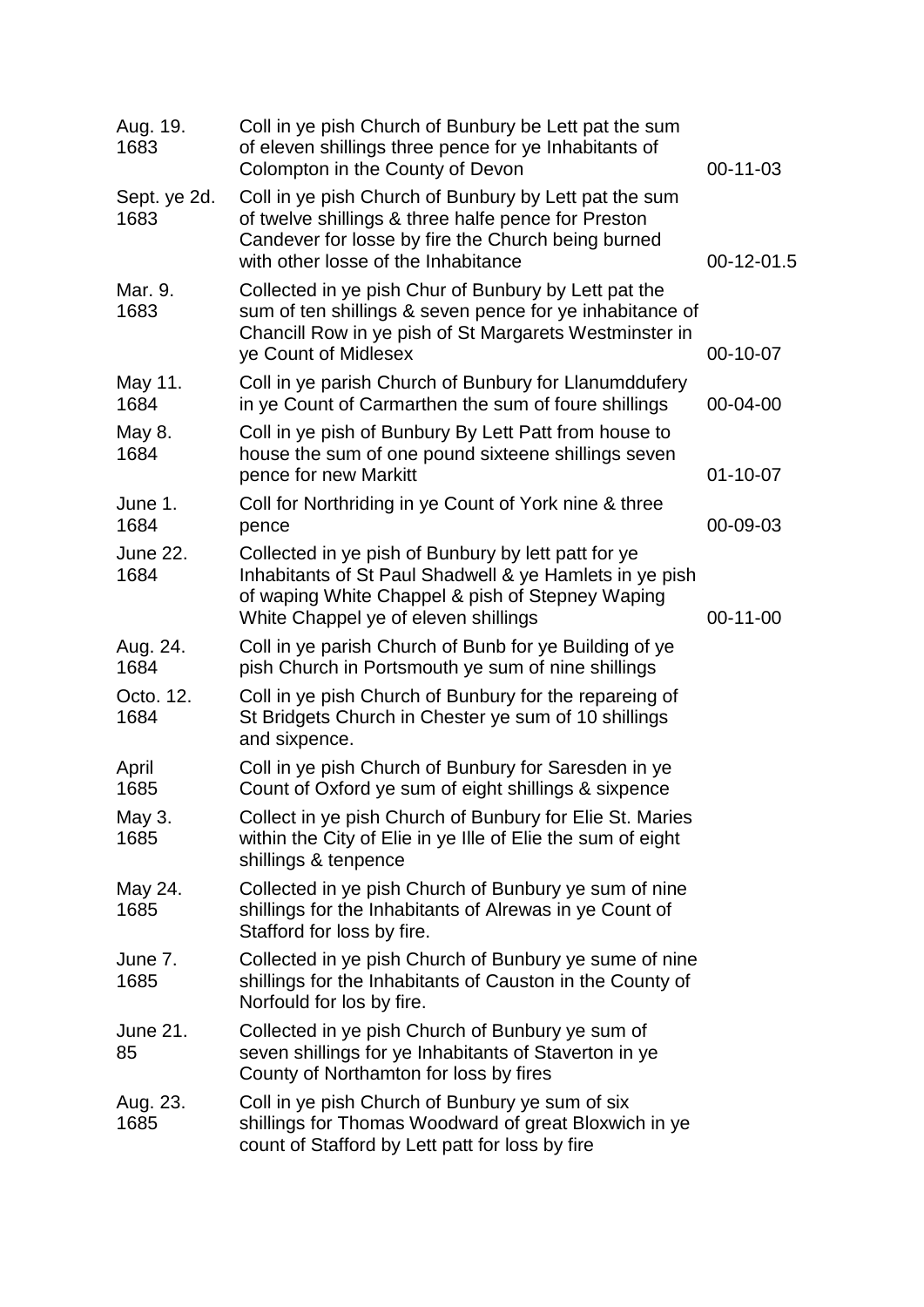| Aug. 19.<br>1683        | Coll in ye pish Church of Bunbury be Lett pat the sum<br>of eleven shillings three pence for ye Inhabitants of<br>Colompton in the County of Devon                                                         | 00-11-03       |
|-------------------------|------------------------------------------------------------------------------------------------------------------------------------------------------------------------------------------------------------|----------------|
| Sept. ye 2d.<br>1683    | Coll in ye pish Church of Bunbury by Lett pat the sum<br>of twelve shillings & three halfe pence for Preston<br>Candever for losse by fire the Church being burned<br>with other losse of the Inhabitance  | 00-12-01.5     |
| Mar. 9.<br>1683         | Collected in ye pish Chur of Bunbury by Lett pat the<br>sum of ten shillings & seven pence for ye inhabitance of<br>Chancill Row in ye pish of St Margarets Westminster in<br>ye Count of Midlesex         | 00-10-07       |
| May 11.<br>1684         | Coll in ye parish Church of Bunbury for Llanumddufery<br>in ye Count of Carmarthen the sum of foure shillings                                                                                              | 00-04-00       |
| May 8.<br>1684          | Coll in ye pish of Bunbury By Lett Patt from house to<br>house the sum of one pound sixteene shillings seven<br>pence for new Markitt                                                                      | $01 - 10 - 07$ |
| June 1.<br>1684         | Coll for Northriding in ye Count of York nine & three<br>pence                                                                                                                                             | 00-09-03       |
| <b>June 22.</b><br>1684 | Collected in ye pish of Bunbury by lett patt for ye<br>Inhabitants of St Paul Shadwell & ye Hamlets in ye pish<br>of waping White Chappel & pish of Stepney Waping<br>White Chappel ye of eleven shillings | $00-11-00$     |
| Aug. 24.<br>1684        | Coll in ye parish Church of Bunb for ye Building of ye<br>pish Church in Portsmouth ye sum of nine shillings                                                                                               |                |
| Octo. 12.<br>1684       | Coll in ye pish Church of Bunbury for the repareing of<br>St Bridgets Church in Chester ye sum of 10 shillings<br>and sixpence.                                                                            |                |
| April<br>1685           | Coll in ye pish Church of Bunbury for Saresden in ye<br>Count of Oxford ye sum of eight shillings & sixpence                                                                                               |                |
| May 3.<br>1685          | Collect in ye pish Church of Bunbury for Elie St. Maries<br>within the City of Elie in ye Ille of Elie the sum of eight<br>shillings & tenpence                                                            |                |
| May 24.<br>1685         | Collected in ye pish Church of Bunbury ye sum of nine<br>shillings for the Inhabitants of Alrewas in ye Count of<br>Stafford for loss by fire.                                                             |                |
| June 7.<br>1685         | Collected in ye pish Church of Bunbury ye sume of nine<br>shillings for the Inhabitants of Causton in the County of<br>Norfould for los by fire.                                                           |                |
| June 21.<br>85          | Collected in ye pish Church of Bunbury ye sum of<br>seven shillings for ye Inhabitants of Staverton in ye<br>County of Northamton for loss by fires                                                        |                |
| Aug. 23.<br>1685        | Coll in ye pish Church of Bunbury ye sum of six<br>shillings for Thomas Woodward of great Bloxwich in ye<br>count of Stafford by Lett patt for loss by fire                                                |                |